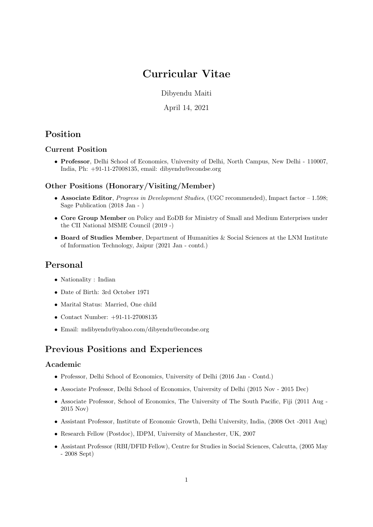# Curricular Vitae

Dibyendu Maiti

April 14, 2021

## Position

## Current Position

• Professor, Delhi School of Economics, University of Delhi, North Campus, New Delhi - 110007, India, Ph: +91-11-27008135, email: dibyendu@econdse.org

## Other Positions (Honorary/Visiting/Member)

- Associate Editor, *Progress in Development Studies*, (UGC recommended), Impact factor  $-1.598$ ; Sage Publication (2018 Jan - )
- Core Group Member on Policy and EoDB for Ministry of Small and Medium Enterprises under the CII National MSME Council (2019 -)
- Board of Studies Member, Department of Humanities & Social Sciences at the LNM Institute of Information Technology, Jaipur (2021 Jan - contd.)

## Personal

- Nationality : Indian
- Date of Birth: 3rd October 1971
- Marital Status: Married, One child
- Contact Number: +91-11-27008135
- Email: mdibyendu@yahoo.com/dibyendu@econdse.org

## Previous Positions and Experiences

#### Academic

- Professor, Delhi School of Economics, University of Delhi (2016 Jan Contd.)
- Associate Professor, Delhi School of Economics, University of Delhi (2015 Nov 2015 Dec)
- Associate Professor, School of Economics, The University of The South Pacific, Fiji (2011 Aug 2015 Nov)
- Assistant Professor, Institute of Economic Growth, Delhi University, India, (2008 Oct -2011 Aug)
- Research Fellow (Postdoc), IDPM, University of Manchester, UK, 2007
- Assistant Professor (RBI/DFID Fellow), Centre for Studies in Social Sciences, Calcutta, (2005 May - 2008 Sept)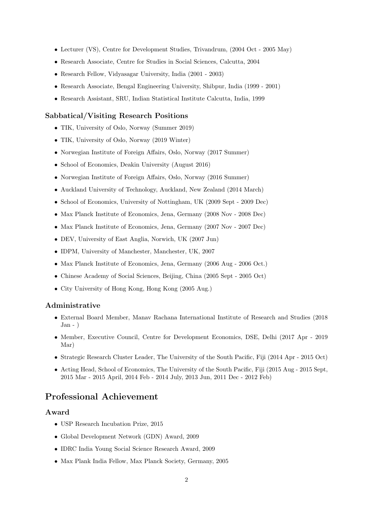- Lecturer (VS), Centre for Development Studies, Trivandrum, (2004 Oct 2005 May)
- Research Associate, Centre for Studies in Social Sciences, Calcutta, 2004
- Research Fellow, Vidyasagar University, India (2001 2003)
- Research Associate, Bengal Engineering University, Shibpur, India (1999 2001)
- Research Assistant, SRU, Indian Statistical Institute Calcutta, India, 1999

#### Sabbatical/Visiting Research Positions

- TIK, University of Oslo, Norway (Summer 2019)
- TIK, University of Oslo, Norway (2019 Winter)
- Norwegian Institute of Foreign Affairs, Oslo, Norway (2017 Summer)
- School of Economics, Deakin University (August 2016)
- Norwegian Institute of Foreign Affairs, Oslo, Norway (2016 Summer)
- Auckland University of Technology, Auckland, New Zealand (2014 March)
- School of Economics, University of Nottingham, UK (2009 Sept 2009 Dec)
- Max Planck Institute of Economics, Jena, Germany (2008 Nov 2008 Dec)
- Max Planck Institute of Economics, Jena, Germany (2007 Nov 2007 Dec)
- DEV, University of East Anglia, Norwich, UK (2007 Jun)
- IDPM, University of Manchester, Manchester, UK, 2007
- Max Planck Institute of Economics, Jena, Germany (2006 Aug 2006 Oct.)
- Chinese Academy of Social Sciences, Beijing, China (2005 Sept 2005 Oct)
- City University of Hong Kong, Hong Kong (2005 Aug.)

#### Administrative

- External Board Member, Manav Rachana International Institute of Research and Studies (2018  $Jan - )$
- Member, Executive Council, Centre for Development Economics, DSE, Delhi (2017 Apr 2019 Mar)
- Strategic Research Cluster Leader, The University of the South Pacific, Fiji (2014 Apr 2015 Oct)
- Acting Head, School of Economics, The University of the South Pacific, Fiji (2015 Aug 2015 Sept, 2015 Mar - 2015 April, 2014 Feb - 2014 July, 2013 Jun, 2011 Dec - 2012 Feb)

## Professional Achievement

### Award

- USP Research Incubation Prize, 2015
- Global Development Network (GDN) Award, 2009
- IDRC India Young Social Science Research Award, 2009
- Max Plank India Fellow, Max Planck Society, Germany, 2005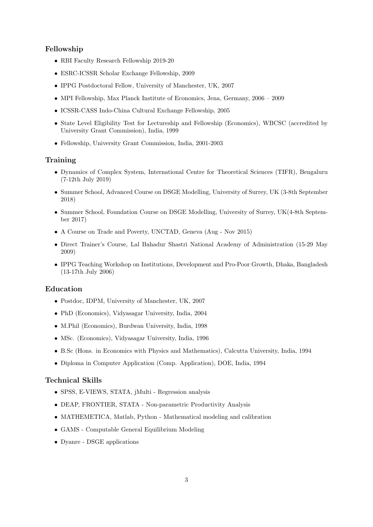### Fellowship

- RBI Faculty Research Fellowship 2019-20
- ESRC-ICSSR Scholar Exchange Fellowship, 2009
- IPPG Postdoctoral Fellow, University of Manchester, UK, 2007
- MPI Fellowship, Max Planck Institute of Economics, Jena, Germany, 2006 2009
- ICSSR-CASS Indo-China Cultural Exchange Fellowship, 2005
- State Level Eligibility Test for Lectureship and Fellowship (Economics), WBCSC (accredited by University Grant Commission), India, 1999
- Fellowship, University Grant Commission, India, 2001-2003

#### **Training**

- Dynamics of Complex System, International Centre for Theoretical Sciences (TIFR), Bengaluru (7-12th July 2019)
- Summer School, Advanced Course on DSGE Modelling, University of Surrey, UK (3-8th September 2018)
- Summer School, Foundation Course on DSGE Modelling, University of Surrey, UK(4-8th September 2017)
- A Course on Trade and Poverty, UNCTAD, Geneva (Aug Nov 2015)
- Direct Trainer's Course, Lal Bahadur Shastri National Academy of Administration (15-29 May 2009)
- IPPG Teaching Workshop on Institutions, Development and Pro-Poor Growth, Dhaka, Bangladesh (13-17th July 2006)

#### Education

- Postdoc, IDPM, University of Manchester, UK, 2007
- PhD (Economics), Vidyasagar University, India, 2004
- M.Phil (Economics), Burdwan University, India, 1998
- MSc. (Economics), Vidyasagar University, India, 1996
- B.Sc (Hons. in Economics with Physics and Mathematics), Calcutta University, India, 1994
- Diploma in Computer Application (Comp. Application), DOE, India, 1994

### Technical Skills

- SPSS, E-VIEWS, STATA, jMulti Regression analysis
- DEAP, FRONTIER, STATA Non-parametric Productivity Analysis
- MATHEMETICA, Matlab, Python Mathematical modeling and calibration
- GAMS Computable General Equilibrium Modeling
- Dyanre DSGE applications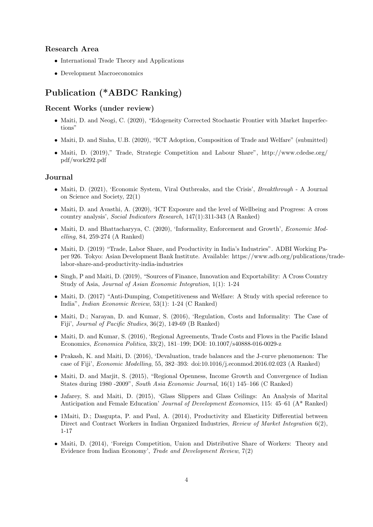#### Research Area

- International Trade Theory and Applications
- Development Macroeconomics

## Publication (\*ABDC Ranking)

#### Recent Works (under review)

- Maiti, D. and Neogi, C. (2020), "Edogeneity Corrected Stochastic Frontier with Market Imperfections"
- Maiti, D. and Sinha, U.B. (2020), "ICT Adoption, Composition of Trade and Welfare" (submitted)
- Maiti, D. (2019)," Trade, Strategic Competition and Labour Share", http://www.cdedse.org/ pdf/work292.pdf

#### Journal

- Maiti, D. (2021), 'Economic System, Viral Outbreaks, and the Crisis', *Breakthrough* A Journal on Science and Society, 22(1)
- Maiti, D. and Avasthi, A. (2020), 'ICT Exposure and the level of Wellbeing and Progress: A cross country analysis', Social Indicators Research, 147(1):311-343 (A Ranked)
- Maiti, D. and Bhattacharyya, C. (2020), 'Informality, Enforcement and Growth', Economic Modelling, 84, 259-274 (A Ranked)
- Maiti, D. (2019) "Trade, Labor Share, and Productivity in India's Industries". ADBI Working Paper 926. Tokyo: Asian Development Bank Institute. Available: https://www.adb.org/publications/tradelabor-share-and-productivity-india-industries
- Singh, P and Maiti, D. (2019), "Sources of Finance, Innovation and Exportability: A Cross Country Study of Asia, Journal of Asian Economic Integration, 1(1): 1-24
- Maiti, D. (2017) "Anti-Dumping, Competitiveness and Welfare: A Study with special reference to India", Indian Economic Review, 53(1): 1-24 (C Ranked)
- Maiti, D.; Narayan, D. and Kumar, S. (2016), 'Regulation, Costs and Informality: The Case of Fiji', Journal of Pacific Studies, 36(2), 149-69 (B Ranked)
- Maiti, D. and Kumar, S. (2016), 'Regional Agreements, Trade Costs and Flows in the Pacific Island Economics, Economica Politica, 33(2), 181–199; DOI: 10.1007/s40888-016-0029-z
- Prakash, K. and Maiti, D. (2016), 'Devaluation, trade balances and the J-curve phenomenon: The case of Fiji', Economic Modelling, 55, 382–393: doi:10.1016/j.econmod.2016.02.023 (A Ranked)
- Maiti, D. and Marjit, S. (2015), "Regional Openness, Income Growth and Convergence of Indian States during 1980 -2009", South Asia Economic Journal, 16(1) 145–166 (C Ranked)
- Jafarey, S. and Maiti, D. (2015), 'Glass Slippers and Glass Ceilings: An Analysis of Marital Anticipation and Female Education' Journal of Development Economics, 115: 45–61 (A\* Ranked)
- 1 Maiti, D.; Dasgupta, P. and Paul, A. (2014), Productivity and Elasticity Differential between Direct and Contract Workers in Indian Organized Industries, Review of Market Integration 6(2), 1-17
- Maiti, D. (2014), 'Foreign Competition, Union and Distributive Share of Workers: Theory and Evidence from Indian Economy', Trade and Development Review, 7(2)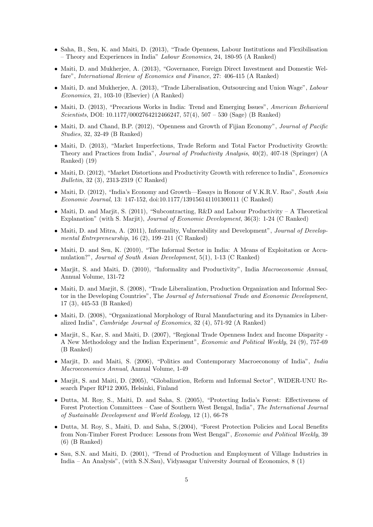- Saha, B., Sen, K. and Maiti, D. (2013), "Trade Openness, Labour Institutions and Flexibilisation – Theory and Experiences in India" Labour Economics, 24, 180-95 (A Ranked)
- Maiti, D. and Mukherjee, A. (2013), "Governance, Foreign Direct Investment and Domestic Welfare", International Review of Economics and Finance, 27: 406-415 (A Ranked)
- Maiti, D. and Mukherjee, A. (2013), "Trade Liberalisation, Outsourcing and Union Wage", Labour Economics, 21, 103-10 (Elsevier) (A Ranked)
- Maiti, D. (2013), "Precarious Works in India: Trend and Emerging Issues", American Behavioral Scientists, DOI: 10.1177/0002764212466247, 57(4), 507 – 530 (Sage) (B Ranked)
- Maiti, D. and Chand, B.P. (2012), "Openness and Growth of Fijian Economy", Journal of Pacific Studies, 32, 32-49 (B Ranked)
- Maiti, D. (2013), "Market Imperfections, Trade Reform and Total Factor Productivity Growth: Theory and Practices from India", Journal of Productivity Analysis, 40(2), 407-18 (Springer) (A Ranked) (19)
- Maiti, D. (2012), "Market Distortions and Productivity Growth with reference to India", *Economics* Bulletin, 32 (3), 2313-2319 (C Ranked)
- Maiti, D. (2012), "India's Economy and Growth—Essays in Honour of V.K.R.V. Rao", South Asia Economic Journal, 13: 147-152, doi:10.1177/139156141101300111 (C Ranked)
- Maiti, D. and Marjit, S. (2011), "Subcontracting, R&D and Labour Productivity A Theoretical Explanation" (with S. Marjit), Journal of Economic Development, 36(3): 1-24 (C Ranked)
- Maiti, D. and Mitra, A. (2011), Informality, Vulnerability and Development", Journal of Developmental Entrepreneurship, 16 (2), 199–211 (C Ranked)
- Maiti, D. and Sen, K. (2010), "The Informal Sector in India: A Means of Exploitation or Accumulation?", Journal of South Asian Development, 5(1), 1-13 (C Ranked)
- Marjit, S. and Maiti, D. (2010), "Informality and Productivity", India Macroeconomic Annual, Annual Volume, 131-72
- Maiti, D. and Marjit, S. (2008), "Trade Liberalization, Production Organization and Informal Sector in the Developing Countries", The Journal of International Trade and Economic Development, 17 (3), 445-53 (B Ranked)
- Maiti, D. (2008), "Organizational Morphology of Rural Manufacturing and its Dynamics in Liberalized India", Cambridge Journal of Economics, 32 (4), 571-92 (A Ranked)
- Marjit, S., Kar, S. and Maiti, D. (2007), "Regional Trade Openness Index and Income Disparity A New Methodology and the Indian Experiment", Economic and Political Weekly, 24 (9), 757-69 (B Ranked)
- Marjit, D. and Maiti, S. (2006), "Politics and Contemporary Macroeconomy of India", India Macroeconomics Annual, Annual Volume, 1-49
- Marjit, S. and Maiti, D. (2005), "Globalization, Reform and Informal Sector", WIDER-UNU Research Paper RP12 2005, Helsinki, Finland
- Dutta, M. Roy, S., Maiti, D. and Saha, S. (2005), "Protecting India's Forest: Effectiveness of Forest Protection Committees – Case of Southern West Bengal, India", The International Journal of Sustainable Development and World Ecology, 12 (1), 66-78
- Dutta, M. Roy, S., Maiti, D. and Saha, S.(2004), "Forest Protection Policies and Local Benefits from Non-Timber Forest Produce: Lessons from West Bengal", Economic and Political Weekly, 39 (6) (B Ranked)
- Sau, S.N. and Maiti, D. (2001), "Trend of Production and Employment of Village Industries in India – An Analysis", (with S.N.Sau), Vidyasagar University Journal of Economics, 8 (1)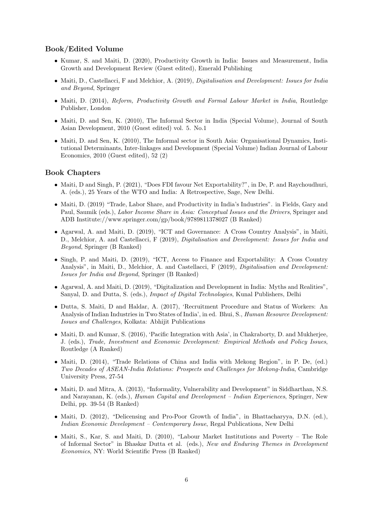#### Book/Edited Volume

- Kumar, S. and Maiti, D. (2020), Productivity Growth in India: Issues and Measurement, India Growth and Development Review (Guest edited), Emerald Publishing
- Maiti, D., Castellacci, F and Melchior, A. (2019), *Digitalisation and Development: Issues for India* and Beyond, Springer
- Maiti, D. (2014), Reform, Productivity Growth and Formal Labour Market in India, Routledge Publisher, London
- Maiti, D. and Sen, K. (2010), The Informal Sector in India (Special Volume), Journal of South Asian Development, 2010 (Guest edited) vol. 5. No.1
- Maiti, D. and Sen, K. (2010), The Informal sector in South Asia: Organisational Dynamics, Institutional Determinants, Inter-linkages and Development (Special Volume) Indian Journal of Labour Economics, 2010 (Guest edited), 52 (2)

#### Book Chapters

- Maiti, D and Singh, P. (2021), "Does FDI favour Net Exportability?", in De, P. and Raychoudhuri, A. (eds.), 25 Years of the WTO and India: A Retrospective, Sage, New Delhi.
- Maiti, D. (2019) "Trade, Labor Share, and Productivity in India's Industries". in Fields, Gary and Paul, Saumik (eds.), Labor Income Share in Asia: Conceptual Issues and the Drivers, Springer and ADB Institute://www.springer.com/gp/book/9789811378027 (B Ranked)
- Agarwal, A. and Maiti, D. (2019), "ICT and Governance: A Cross Country Analysis", in Maiti, D., Melchior, A. and Castellacci, F (2019), Digitalisation and Development: Issues for India and Beyond, Springer (B Ranked)
- Singh, P. and Maiti, D. (2019), "ICT, Access to Finance and Exportability: A Cross Country Analysis", in Maiti, D., Melchior, A. and Castellacci, F (2019), Digitalisation and Development: Issues for India and Beyond, Springer (B Ranked)
- Agarwal, A. and Maiti, D. (2019), "Digitalization and Development in India: Myths and Realities", Sanyal, D. and Dutta, S. (eds.), Impact of Digital Technologies, Kunal Publishers, Delhi
- Dutta, S. Maiti, D and Haldar, A. (2017), 'Recruitment Procedure and Status of Workers: An Analysis of Indian Industries in Two States of India', in ed. Bhui, S., Human Resource Development: Issues and Challenges, Kolkata: Abhijit Publications
- Maiti, D. and Kumar, S. (2016), 'Pacific Integration with Asia', in Chakraborty, D. and Mukherjee, J. (eds.), Trade, Investment and Economic Development: Empirical Methods and Policy Issues, Routledge (A Ranked)
- Maiti, D. (2014), "Trade Relations of China and India with Mekong Region", in P. De, (ed.) Two Decades of ASEAN-India Relations: Prospects and Challenges for Mekong-India, Cambridge University Press, 27-54
- Maiti, D. and Mitra, A. (2013), "Informality, Vulnerability and Development" in Siddharthan, N.S. and Narayanan, K. (eds.), Human Capital and Development – Indian Experiences, Springer, New Delhi, pp. 39-54 (B Ranked)
- Maiti, D. (2012), "Delicensing and Pro-Poor Growth of India", in Bhattacharyya, D.N. (ed.), Indian Economic Development – Contemporary Issue, Regal Publications, New Delhi
- Maiti, S., Kar, S. and Maiti, D. (2010), "Labour Market Institutions and Poverty The Role of Informal Sector" in Bhaskar Dutta et al. (eds.), New and Enduring Themes in Development Economics, NY: World Scientific Press (B Ranked)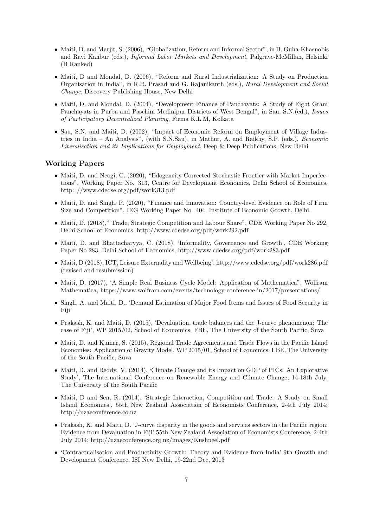- Maiti, D. and Marjit, S. (2006), "Globalization, Reform and Informal Sector", in B. Guha-Khasnobis and Ravi Kanbur (eds.), Informal Labor Markets and Development, Palgrave-McMillan, Helsinki (B Ranked)
- Maiti, D and Mondal, D. (2006), "Reform and Rural Industrialization: A Study on Production Organisation in India", in R.R. Prasad and G. Rajanikanth (eds.), Rural Development and Social Change, Discovery Publishing House, New Delhi
- Maiti, D. and Mondal, D. (2004), "Development Finance of Panchayats: A Study of Eight Gram Panchayats in Purba and Paschim Medinipur Districts of West Bengal", in Sau, S.N.(ed.), Issues of Participatory Decentralized Planning, Firma K.L.M, Kolkata
- Sau, S.N. and Maiti, D. (2002), "Impact of Economic Reform on Employment of Village Industries in India – An Analysis", (with S.N.Sau), in Mathur, A. and Raikhy, S.P. (eds.), Economic Liberalisation and its Implications for Employment, Deep & Deep Publications, New Delhi

#### Working Papers

- Maiti, D. and Neogi, C. (2020), "Edogeneity Corrected Stochastic Frontier with Market Imperfections", Working Paper No. 313, Centre for Development Economics, Delhi School of Economics, http: //www.cdedse.org/pdf/work313.pdf
- Maiti, D. and Singh, P. (2020), "Finance and Innovation: Country-level Evidence on Role of Firm Size and Competition", IEG Working Paper No. 404, Institute of Economic Growth, Delhi.
- Maiti, D. (2018)," Trade, Strategic Competition and Labour Share", CDE Working Paper No 292, Delhi School of Economics, http://www.cdedse.org/pdf/work292.pdf
- Maiti, D. and Bhattacharyya, C. (2018), 'Informality, Governance and Growth', CDE Working Paper No 283, Delhi School of Economics, http://www.cdedse.org/pdf/work283.pdf
- Maiti, D (2018), ICT, Leisure Externality and Wellbeing', http://www.cdedse.org/pdf/work286.pdf (revised and resubmission)
- Maiti, D. (2017), 'A Simple Real Business Cycle Model: Application of Mathematica", Wolfram Mathematica, https://www.wolfram.com/events/technology-conference-in/2017/presentations/
- Singh, A. and Maiti, D., 'Demand Estimation of Major Food Items and Issues of Food Security in Fiji'
- Prakash, K. and Maiti, D. (2015), 'Devaluation, trade balances and the J-curve phenomenon: The case of Fiji', WP 2015/02, School of Economics, FBE, The University of the South Pacific, Suva
- Maiti, D. and Kumar, S. (2015), Regional Trade Agreements and Trade Flows in the Pacific Island Economies: Application of Gravity Model, WP 2015/01, School of Economics, FBE, The University of the South Pacific, Suva
- Maiti, D. and Reddy. V. (2014), 'Climate Change and its Impact on GDP of PICs: An Explorative Study', The International Conference on Renewable Energy and Climate Change, 14-18th July, The University of the South Pacific
- Maiti, D and Sen, R. (2014), 'Strategic Interaction, Competition and Trade: A Study on Small Island Economies', 55th New Zealand Association of Economists Conference, 2-4th July 2014; http://nzaeconference.co.nz
- Prakash, K. and Maiti, D. 'J-curve disparity in the goods and services sectors in the Pacific region: Evidence from Devaluation in Fiji' 55th New Zealand Association of Economists Conference, 2-4th July 2014; http://nzaeconference.org.nz/images/Kushneel.pdf
- 'Contractualisation and Productivity Growth: Theory and Evidence from India' 9th Growth and Development Conference, ISI New Delhi, 19-22nd Dec, 2013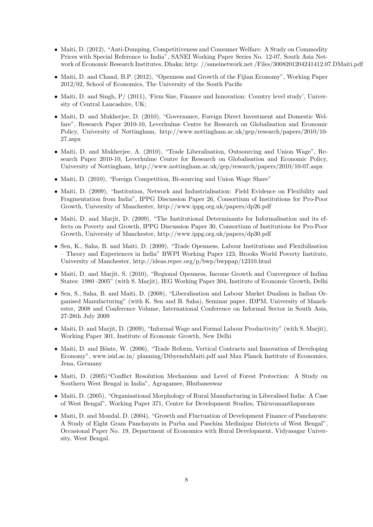- Maiti, D. (2012), "Anti-Dumping, Competitiveness and Consumer Welfare: A Study on Commodity Prices with Special Reference to India", SANEI Working Paper Series No. 12-07, South Asia Network of Economic Research Institutes, Dhaka; http: //saneinetwork.net /Files/3008201204241412.07.DMaiti.pdf
- Maiti, D. and Chand, B.P. (2012), "Openness and Growth of the Fijian Economy", Working Paper 2012/02, School of Economics, The University of the South Pacific
- Maiti, D. and Singh,  $P/(2011)$ , 'Firm Size, Finance and Innovation: Country level study', University of Central Lancashire, UK;
- Maiti, D. and Mukherjee, D. (2010), "Governance, Foreign Direct Investment and Domestic Welfare", Research Paper 2010-10, Leverhulme Centre for Research on Globalisation and Economic Policy, University of Nottingham, http://www.nottingham.ac.uk/gep/research/papers/2010/10- 27.aspx
- Maiti, D. and Mukherjee, A. (2010), "Trade Liberalisation, Outsourcing and Union Wage", Research Paper 2010-10, Leverhulme Centre for Research on Globalisation and Economic Policy, University of Nottingham, http://www.nottingham.ac.uk/gep/research/papers/2010/10-07.aspx
- Maiti, D. (2010), "Foreign Competition, Bi-sourcing and Union Wage Share"
- Maiti, D. (2009), "Institution, Network and Industrialisation: Field Evidence on Flexibility and Fragmentation from India", IPPG Discussion Paper 26, Consortium of Institutions for Pro-Poor Growth, University of Manchester, http://www.ippg.org.uk/papers/dp26.pdf
- Maiti, D. and Marjit, D. (2009), "The Institutional Determinants for Informalisation and its effects on Poverty and Growth, IPPG Discussion Paper 30, Consortium of Institutions for Pro-Poor Growth, University of Manchester, http://www.ippg.org.uk/papers/dp30.pdf
- Sen, K., Saha, B. and Maiti, D. (2009), "Trade Openness, Labour Institutions and Flexibilisation – Theory and Experiences in India" BWPI Working Paper 123, Brooks World Poverty Institute, University of Manchester, http://ideas.repec.org/p/bwp/bwppap/12310.html
- Maiti, D. and Marjit, S. (2010), "Regional Openness, Income Growth and Convergence of Indian States: 1980 -2005" (with S. Marjit), IEG Working Paper 304, Institute of Economic Growth, Delhi
- Sen, S., Saha, B. and Maiti, D. (2008), "Liberalisation and Labour Market Dualism in Indian Organised Manufacturing" (with K. Sen and B. Saha), Seminar paper, IDPM, University of Manchester, 2008 and Conference Volume, International Conference on Informal Sector in South Asia, 27-28th July 2009
- Maiti, D. and Marjit, D. (2009), "Informal Wage and Formal Labour Productivity" (with S. Marjit), Working Paper 301, Institute of Economic Growth, New Delhi
- Maiti, D. and Bönte, W. (2006), "Trade Reform, Vertical Contracts and Innovation of Developing Economy", www.isid.ac.in/ planning/DibyenduMaiti.pdf and Max Planck Institute of Economics, Jena, Germany
- Maiti, D. (2005)"Conflict Resolution Mechanism and Level of Forest Protection: A Study on Southern West Bengal in India", Agragamee, Bhubaneswar
- Maiti, D. (2005), "Organisational Morphology of Rural Manufacturing in Liberalised India: A Case of West Bengal", Working Paper 371, Centre for Development Studies, Thiruvananthapuram
- Maiti, D. and Mondal, D. (2004), "Growth and Fluctuation of Development Finance of Panchayats: A Study of Eight Gram Panchayats in Purba and Paschim Medinipur Districts of West Bengal", Occasional Paper No. 19, Department of Economics with Rural Development, Vidyasagar University, West Bengal.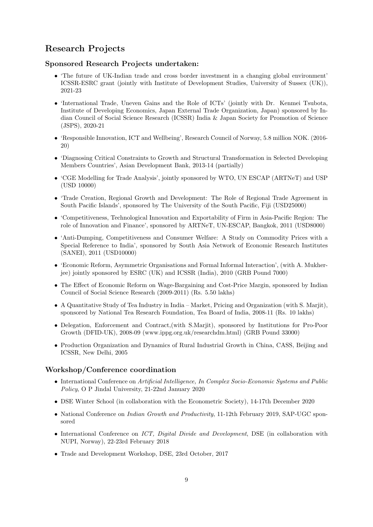## Research Projects

## Sponsored Research Projects undertaken:

- 'The future of UK-Indian trade and cross border investment in a changing global environment' ICSSR-ESRC grant (jointly with Institute of Development Studies, University of Sussex (UK)), 2021-23
- 'International Trade, Uneven Gains and the Role of ICTs' (jointly with Dr. Kenmei Tsubota, Institute of Developing Economics, Japan External Trade Organization, Japan) sponsored by Indian Council of Social Science Research (ICSSR) India & Japan Society for Promotion of Science (JSPS), 2020-21
- 'Responsible Innovation, ICT and Wellbeing', Research Council of Norway, 5.8 million NOK. (2016- 20)
- 'Diagnosing Critical Constraints to Growth and Structural Transformation in Selected Developing Members Countries', Asian Development Bank, 2013-14 (partially)
- 'CGE Modelling for Trade Analysis', jointly sponsored by WTO, UN ESCAP (ARTNeT) and USP (USD 10000)
- 'Trade Creation, Regional Growth and Development: The Role of Regional Trade Agreement in South Pacific Islands', sponsored by The University of the South Pacific, Fiji (USD25000)
- 'Competitiveness, Technological Innovation and Exportability of Firm in Asia-Pacific Region: The role of Innovation and Finance', sponsored by ARTNeT, UN-ESCAP, Bangkok, 2011 (USD8000)
- 'Anti-Dumping, Competitiveness and Consumer Welfare: A Study on Commodity Prices with a Special Reference to India', sponsored by South Asia Network of Economic Research Institutes (SANEI), 2011 (USD10000)
- 'Economic Reform, Asymmetric Organisations and Formal Informal Interaction', (with A. Mukherjee) jointly sponsored by ESRC (UK) and ICSSR (India), 2010 (GRB Pound 7000)
- The Effect of Economic Reform on Wage-Bargaining and Cost-Price Margin, sponsored by Indian Council of Social Science Research (2009-2011) (Rs. 5.50 lakhs)
- A Quantitative Study of Tea Industry in India Market, Pricing and Organization (with S. Marjit), sponsored by National Tea Research Foundation, Tea Board of India, 2008-11 (Rs. 10 lakhs)
- Delegation, Enforcement and Contract,(with S.Marjit), sponsored by Institutions for Pro-Poor Growth (DFID-UK), 2008-09 (www.ippg.org.uk/researchdm.html) (GRB Pound 33000)
- Production Organization and Dynamics of Rural Industrial Growth in China, CASS, Beijing and ICSSR, New Delhi, 2005

## Workshop/Conference coordination

- International Conference on Artificial Intelligence, In Complex Socio-Economic Systems and Public Policy, O P Jindal University, 21-22nd January 2020
- DSE Winter School (in collaboration with the Econometric Society), 14-17th December 2020
- National Conference on *Indian Growth and Productivity*, 11-12th February 2019, SAP-UGC sponsored
- International Conference on ICT, Digital Divide and Development, DSE (in collaboration with NUPI, Norway), 22-23rd February 2018
- Trade and Development Workshop, DSE, 23rd October, 2017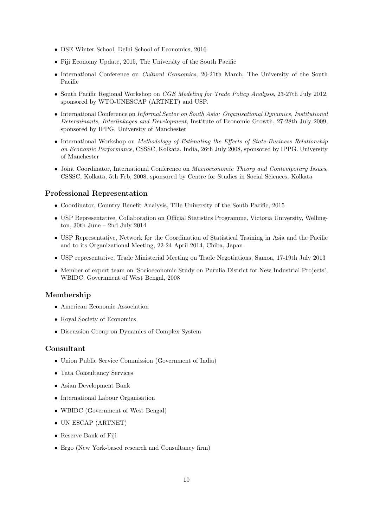- DSE Winter School, Delhi School of Economics, 2016
- Fiji Economy Update, 2015, The University of the South Pacific
- International Conference on *Cultural Economics*, 20-21th March, The University of the South Pacific
- South Pacific Regional Workshop on *CGE Modeling for Trade Policy Analysis*, 23-27th July 2012, sponsored by WTO-UNESCAP (ARTNET) and USP.
- International Conference on Informal Sector on South Asia: Organisational Dynamics, Institutional Determinants, Interlinkages and Development, Institute of Economic Growth, 27-28th July 2009, sponsored by IPPG, University of Manchester
- International Workshop on Methodology of Estimating the Effects of State-Business Relationship on Economic Performance, CSSSC, Kolkata, India, 26th July 2008, sponsored by IPPG. University of Manchester
- Joint Coordinator, International Conference on Macroeconomic Theory and Contemporary Issues, CSSSC, Kolkata, 5th Feb, 2008, sponsored by Centre for Studies in Social Sciences, Kolkata

#### Professional Representation

- Coordinator, Country Benefit Analysis, THe University of the South Pacific, 2015
- USP Representative, Collaboration on Official Statistics Programme, Victoria University, Wellington, 30th June – 2nd July 2014
- USP Representative, Network for the Coordination of Statistical Training in Asia and the Pacific and to its Organizational Meeting, 22-24 April 2014, Chiba, Japan
- USP representative, Trade Ministerial Meeting on Trade Negotiations, Samoa, 17-19th July 2013
- Member of expert team on 'Socioeconomic Study on Purulia District for New Industrial Projects', WBIDC, Government of West Bengal, 2008

#### Membership

- American Economic Association
- Royal Society of Economics
- Discussion Group on Dynamics of Complex System

#### Consultant

- Union Public Service Commission (Government of India)
- Tata Consultancy Services
- Asian Development Bank
- International Labour Organisation
- WBIDC (Government of West Bengal)
- UN ESCAP (ARTNET)
- Reserve Bank of Fiji
- Ergo (New York-based research and Consultancy firm)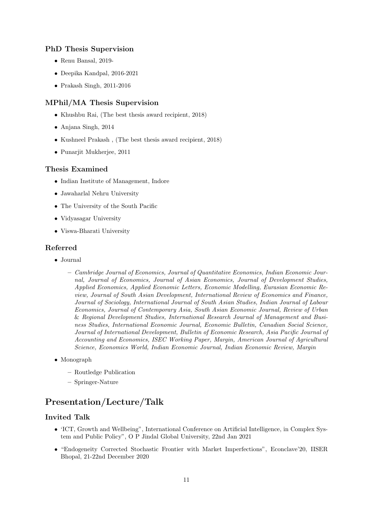#### PhD Thesis Supervision

- Renu Bansal, 2019-
- Deepika Kandpal, 2016-2021
- Prakash Singh, 2011-2016

### MPhil/MA Thesis Supervision

- Khushbu Rai, (The best thesis award recipient, 2018)
- Anjana Singh, 2014
- Kushneel Prakash , (The best thesis award recipient, 2018)
- Punarjit Mukherjee, 2011

#### Thesis Examined

- Indian Institute of Management, Indore
- Jawaharlal Nehru University
- The University of the South Pacific
- Vidyasagar University
- Viswa-Bharati University

#### Referred

- Journal
	- Cambridge Journal of Economics, Journal of Quantitative Economics, Indian Economic Journal, Journal of Economics, Journal of Asian Economics, Journal of Development Studies, Applied Economics, Applied Economic Letters, Economic Modelling, Eurasian Economic Review, Journal of South Asian Development, International Review of Economics and Finance, Journal of Sociology, International Journal of South Asian Studies, Indian Journal of Labour Economics, Journal of Contemporary Asia, South Asian Economic Journal, Review of Urban & Regional Development Studies, International Research Journal of Management and Business Studies, International Economic Journal, Economic Bulletin, Canadian Social Science, Journal of International Development, Bulletin of Economic Research, Asia Pacific Journal of Accounting and Economics, ISEC Working Paper, Margin, American Journal of Agricultural Science, Economics World, Indian Economic Journal, Indian Economic Review, Margin
- Monograph
	- Routledge Publication
	- Springer-Nature

## Presentation/Lecture/Talk

### Invited Talk

- 'ICT, Growth and Wellbeing", International Conference on Artificial Intelligence, in Complex System and Public Policy", O P Jindal Global University, 22nd Jan 2021
- "Endogeneity Corrected Stochastic Frontier with Market Imperfections", Econclave'20, IISER Bhopal, 21-22nd December 2020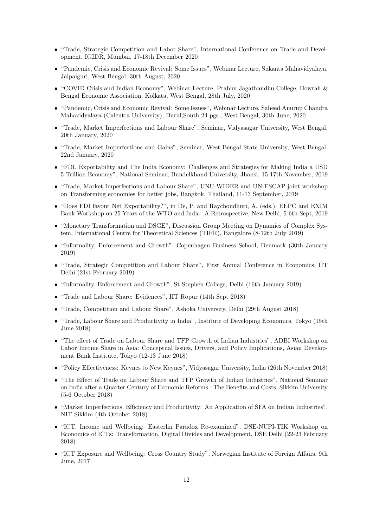- "Trade, Strategic Competition and Labor Share", International Conference on Trade and Development, IGIDR, Mumbai, 17-18th December 2020
- "Pandemic, Crisis and Economic Revival: Some Issues", Webinar Lecture, Sukanta Mahavidyalaya, Jalpaiguri, West Bengal, 30th August, 2020
- "COVID Crisis and Indian Economy", Webinar Lecture, Prabhu Jagatbandhu College, Howrah & Bengal Economic Association, Kolkata, West Bengal, 28th July, 2020
- "Pandemic, Crisis and Economic Revival: Some Issues", Webinar Lecture, Saheed Anurup Chandra Mahavidyalaya (Calcutta University), Burul,South 24 pgs., West Bengal, 30th June, 2020
- "Trade, Market Imperfections and Labour Share", Seminar, Vidyasagar University, West Bengal, 20th January, 2020
- "Trade, Market Imperfections and Gains", Seminar, West Bengal State University, West Bengal, 22nd January, 2020
- "FDI, Exportability and The India Economy: Challenges and Strategies for Making India a USD 5 Trillion Economy", National Seminar, Bundelkhand University, Jhansi, 15-17th November, 2019
- "Trade, Market Imperfections and Labour Share", UNU-WIDER and UN-ESCAP joint workshop on Transforming economies for better jobs, Bangkok, Thailand, 11-13 September, 2019
- "Does FDI favour Net Exportability?", in De, P. and Raychoudhuri, A. (eds.), EEPC and EXIM Bank Workshop on 25 Years of the WTO and India: A Retrospective, New Delhi, 5-6th Sept, 2019
- "Monetary Transformation and DSGE", Discussion Group Meeting on Dynamics of Complex System, International Centre for Theoretical Sciences (TIFR), Bangalore (8-12th July 2019)
- "Informality, Enforcement and Growth", Copenhagen Business School, Denmark (30th January 2019)
- "Trade, Strategic Competition and Labour Share", First Annual Conference in Economics, IIT Delhi (21st February 2019)
- "Informality, Enforcement and Growth", St Stephen College, Delhi (16th January 2019)
- "Trade and Labour Share: Evidences", IIT Ropur (14th Sept 2018)
- "Trade, Competition and Labour Share", Ashoka University, Delhi (29th August 2018)
- "Trade, Labour Share and Productivity in India", Institute of Developing Economics, Tokyo (15th June 2018)
- "The effect of Trade on Labour Share and TFP Growth of Indian Industries", ADBI Workshop on Labor Income Share in Asia: Conceptual Issues, Drivers, and Policy Implications, Asian Development Bank Institute, Tokyo (12-13 June 2018)
- "Policy Effectiveness: Keynes to New Keynes", Vidyasagar University, India (26th November 2018)
- "The Effect of Trade on Labour Share and TFP Growth of Indian Industries", National Seminar on India after a Quarter Century of Economic Reforms - The Benefits and Costs, Sikkim University (5-6 October 2018)
- "Market Imperfections, Efficiency and Productivity: An Application of SFA on Indian Industries", NIT Sikkim (4th October 2018)
- "ICT, Income and Wellbeing: Easterlin Paradox Re-examined", DSE-NUPI-TIK Workshop on Economics of ICTs: Transformation, Digital Divides and Development, DSE Delhi (22-23 February 2018)
- "ICT Exposure and Wellbeing: Cross Country Study", Norwegian Institute of Foreign Affairs, 9th June, 2017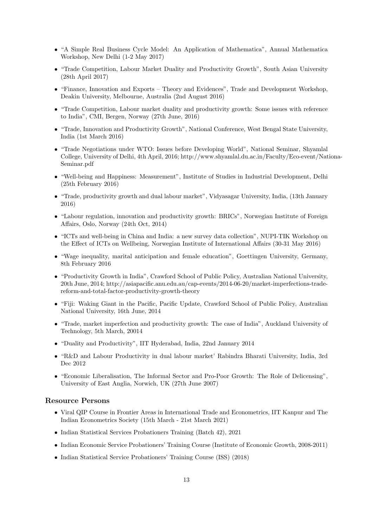- "A Simple Real Business Cycle Model: An Application of Mathematica", Annual Mathematica Workshop, New Delhi (1-2 May 2017)
- "Trade Competition, Labour Market Duality and Productivity Growth", South Asian University (28th April 2017)
- "Finance, Innovation and Exports Theory and Evidences", Trade and Development Workshop, Deakin University, Melbourne, Australia (2nd August 2016)
- "Trade Competition, Labour market duality and productivity growth: Some issues with reference to India", CMI, Bergen, Norway (27th June, 2016)
- "Trade, Innovation and Productivity Growth", National Conference, West Bengal State University, India (1st March 2016)
- "Trade Negotiations under WTO: Issues before Developing World", National Seminar, Shyamlal College, University of Delhi, 4th April, 2016; http://www.shyamlal.du.ac.in/Faculty/Eco-event/Nationa-Seminar.pdf
- "Well-being and Happiness: Measurement", Institute of Studies in Industrial Development, Delhi (25th February 2016)
- "Trade, productivity growth and dual labour market", Vidyasagar University, India, (13th January 2016)
- "Labour regulation, innovation and productivity growth: BRICs", Norwegian Institute of Foreign Affairs, Oslo, Norway (24th Oct, 2014)
- "ICTs and well-being in China and India: a new survey data collection", NUPI-TIK Workshop on the Effect of ICTs on Wellbeing, Norwegian Institute of International Affairs (30-31 May 2016)
- "Wage inequality, marital anticipation and female education", Goettingen University, Germany, 8th February 2016
- "Productivity Growth in India", Crawford School of Public Policy, Australian National University, 20th June, 2014; http://asiapacific.anu.edu.au/cap-events/2014-06-20/market-imperfections-tradereform-and-total-factor-productivity-growth-theory
- "Fiji: Waking Giant in the Pacific, Pacific Update, Crawford School of Public Policy, Australian National University, 16th June, 2014
- "Trade, market imperfection and productivity growth: The case of India", Auckland University of Technology, 5th March, 20014
- "Duality and Productivity", IIT Hyderabad, India, 22nd January 2014
- "R&D and Labour Productivity in dual labour market' Rabindra Bharati University, India, 3rd Dec 2012
- "Economic Liberalisation, The Informal Sector and Pro-Poor Growth: The Role of Delicensing", University of East Anglia, Norwich, UK (27th June 2007)

### Resource Persons

- Viral QIP Course in Frontier Areas in International Trade and Econometrics, IIT Kanpur and The Indian Econometrics Society (15th March - 21st March 2021)
- Indian Statistical Services Probationers Training (Batch 42), 2021
- Indian Economic Service Probationers' Training Course (Institute of Economic Growth, 2008-2011)
- Indian Statistical Service Probationers' Training Course (ISS) (2018)